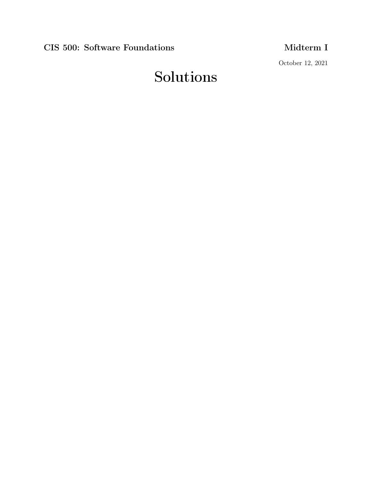CIS 500: Software Foundations Midterm I

October 12, 2021

# Solutions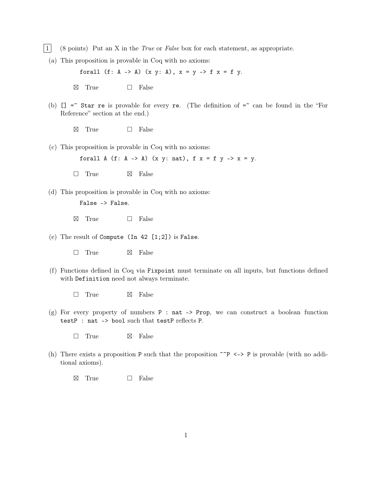- 1 (8 points) Put an X in the True or False box for each statement, as appropriate.
	- (a) This proposition is provable in Coq with no axioms:

forall  $(f: A \rightarrow A)$   $(x, y: A)$ ,  $x = y \rightarrow f$   $x = f$  y.

- $\boxtimes$ True  $\Box$  False
- (b)  $[] =$  Star re is provable for every re. (The definition of  $=$  can be found in the "For Reference" section at the end.)
	- $\boxtimes$ True  $\Box$  False
- (c) This proposition is provable in Coq with no axioms:

forall A  $(f: A \rightarrow A)$   $(x, y: nat)$ ,  $f(x) = f(y)$   $\rightarrow$   $x = y$ .

- $\Box$  True  $\boxtimes$  False
- (d) This proposition is provable in Coq with no axioms:

```
False -> False.
```
- $\boxtimes$ True  $\Box$  False
- (e) The result of Compute (In 42 [1;2]) is False.
	- $\Box$  True  $\boxtimes$  False
- (f) Functions defined in Coq via Fixpoint must terminate on all inputs, but functions defined with Definition need not always terminate.
	- $\Box$  True  $\boxtimes$  False
- $(g)$  For every property of numbers P : nat -> Prop, we can construct a boolean function testP : nat -> bool such that testP reflects P.
	- $\Box$  True  $\boxtimes$  False
- (h) There exists a proposition P such that the proposition  $\tilde{P}$  <-> P is provable (with no additional axioms).
	- $\boxtimes$  True  $\square$  False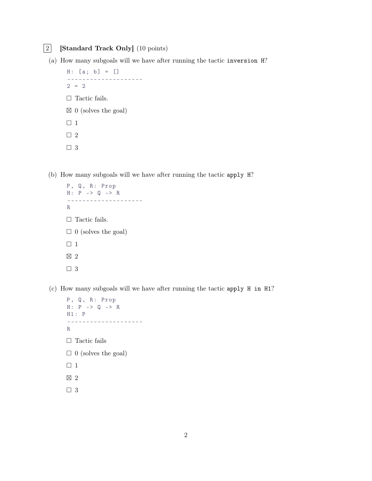### 2 [Standard Track Only] (10 points)

(a) How many subgoals will we have after running the tactic inversion H?

```
H: [a; b] = []--------------------
2 = 2\hfill\Box <br> Tactic fails.
\boxtimes 0 (solves the goal)
\Box 1
\Box 2
\Box 3
```
(b) How many subgoals will we have after running the tactic apply H?

```
P, Q, R: Prop
\begin{array}{cccccccl} \mathrm{H}:&\mathrm{P} &-&\text{\textendash}&\mathrm{Q} &-&\text{\textendash}&\mathrm{R} \end{array}--------------------
R
\Box Tactic fails.
\Box 0 (solves the goal)
\Box 1
 \boxtimes 2
\Box 3
```
(c) How many subgoals will we have after running the tactic apply H in H1?

```
P, Q, R: Prop
H: P \rightarrow Q \rightarrow RH1 : P
--------------------
R
\hfill\Box <br> <br> Tactic fails
\Box 0 (solves the goal)
\Box 1
\boxtimes 2
\Box 3
```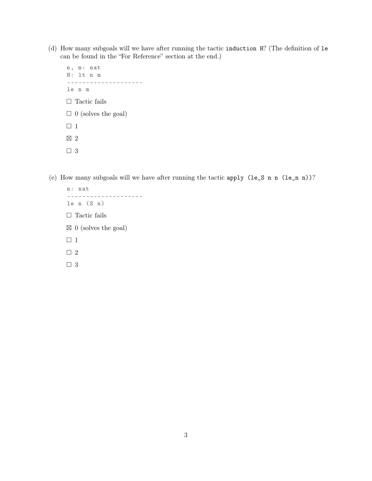- (d) How many subgoals will we have after running the tactic induction H? (The definition of le can be found in the "For Reference" section at the end.)
	- n, m: nat H : lt n m ------------------- le n m  $\hfill\Box$  <br> <br> Tactic fails  $\Box$  0 (solves the goal)  $\Box$  1  $\boxtimes$  2 □ 3
- (e) How many subgoals will we have after running the tactic apply (le\_S n n (le\_n n))?
	- n : nat -------------------  $le n (S n)$  $\hfill\Box$  <br> <br> Tactic fails  $\boxtimes$  0 (solves the goal)  $\Box$  1  $\Box$  2  $\Box$  3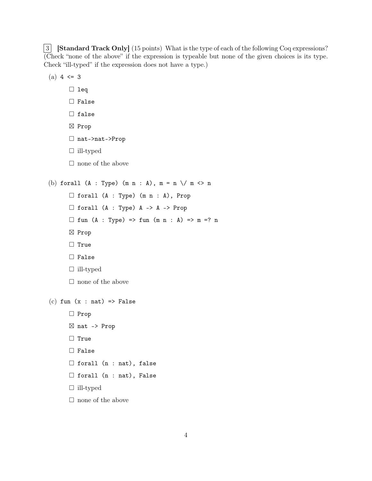**3** [Standard Track Only] (15 points) What is the type of each of the following Coq expressions? (Check "none of the above" if the expression is typeable but none of the given choices is its type. Check "ill-typed" if the expression does not have a type.)

```
(a) 4 \leq 3\Box leq
      □ False
      \Box false
       ⊠ Prop
       nat->nat->Prop
      \Box ill-typed
      \Box none of the above
(b) forall (A : Type) (m n : A), m = n \/ m <> n
      \Box forall (A : Type) (m n : A), Prop
      \Box forall (A : Type) A -> A -> Prop
      \Box fun (A : Type) => fun (m n : A) => m =? n
       ⊠ Prop
      \Box True
      □ False
      \Box ill-typed
      \square none of the above
(c) fun (x : nat) \Rightarrow False□ Prop
       ⊠ nat -> Prop
      \Box True
      □ False
      \Box forall (n : nat), false
      \Box forall (n : nat), False
      \Box ill-typed
      \square none of the above
```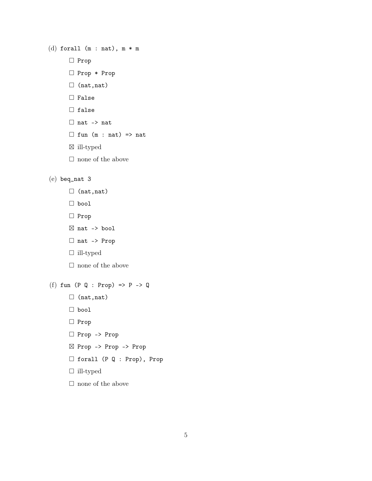```
(d) forall (m : nat), m * m\Box Prop
       Prop * Prop
       \Box (nat,nat)
       \Box False
       \Box false
       \Box nat -> nat
       \Box fun (m : nat) => nat
       \boxtimes ill-typed
```
 $\Box$  none of the above

#### (e) beq\_nat 3

- $\Box$  (nat,nat)
- bool
- □ Prop
- $\boxtimes$  nat -> bool
- □ nat -> Prop
- ill-typed
- $\Box$  none of the above

### (f) fun  $(P \ Q : Prop) \Rightarrow P \Rightarrow Q$

- $\Box$  (nat,nat)
- bool
- □ Prop
- Prop -> Prop
- Prop -> Prop -> Prop
- forall (P Q : Prop), Prop
- ill-typed
- $\Box$  none of the above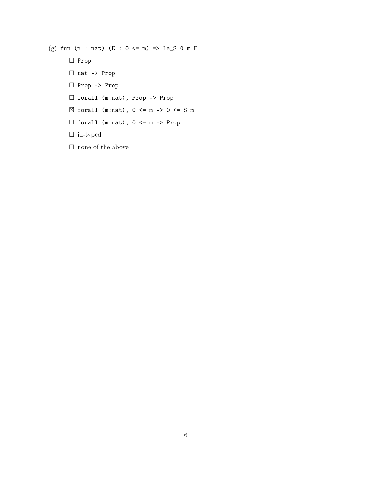(g) fun (m : nat) (E :  $0 \le m$ ) => le\_S 0 m E  $\Box$  Prop nat -> Prop Prop -> Prop forall (m:nat), Prop -> Prop  $\boxtimes$  forall (m:nat),  $0 \leq m \Rightarrow 0 \leq S$  m  $\Box$  forall  $(m:nat)$ ,  $0 \le m \Rightarrow Prop$  $\Box$  ill-typed

 $\Box$  none of the above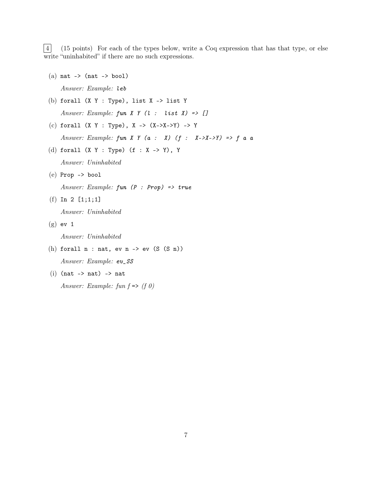4 (15 points) For each of the types below, write a Coq expression that has that type, or else write "uninhabited" if there are no such expressions.

- $(a)$  nat  $\rightarrow$  (nat  $\rightarrow$  bool) Answer: Example: leb
- (b) forall  $(X Y : Type)$ , list  $X \rightarrow$  list  $Y$ Answer: Example: fun  $X Y (l : list I) \Rightarrow []$
- (c) forall (X Y : Type), X ->  $(X->X->Y)$  -> Y Answer: Example: fun  $X$   $Y$  ( $a$  :  $X$ ) ( $f$  :  $X \rightarrow X \rightarrow Y$ ) =>  $f$   $a$   $a$
- (d) forall (X Y : Type) (f : X -> Y), Y Answer: Uninhabited
- (e) Prop -> bool

Answer: Example:  $fun$   $(P : Prop) \Rightarrow true$ 

 $(f)$  In 2  $[1;1;1]$ 

Answer: Uninhabited

- $(g)$  ev 1 Answer: Uninhabited
- (h) forall  $n : nat$ , ev  $n \rightarrow ev$  (S  $(S \ n)$ ) Answer: Example: ev\_SS
- $(i)$  (nat -> nat) -> nat Answer: Example: fun  $f \Rightarrow (f \theta)$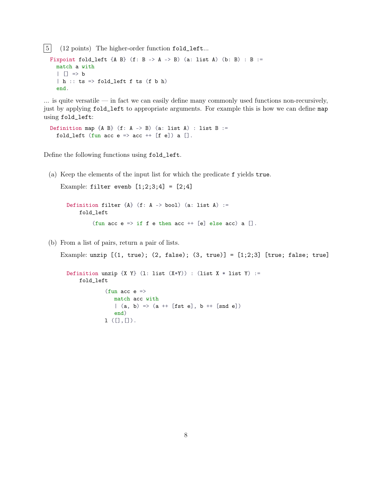5 (12 points) The higher-order function fold\_left...

```
Fixpoint fold_left {A B} (f: B -> A -> B) (a: list A) (b: B) : B :=
  match a with
  \vert \vert => b
  |h :: ts => fold_left f ts (f b h)
  end.
```
 $\ldots$  is quite versatile — in fact we can easily define many commonly used functions non-recursively, just by applying fold\_left to appropriate arguments. For example this is how we can define map using fold\_left:

Definition map  ${A \ B}$  (f: A -> B) (a: list A) : list B := fold\_left (fun acc  $e \Rightarrow$  acc  $++$  [f e]) a [].

Define the following functions using fold\_left.

(a) Keep the elements of the input list for which the predicate f yields true.

Example: filter evenb  $[1;2;3;4] = [2;4]$ 

Definition filter  ${A}$  (f: A -> bool) (a: list A) := fold\_left (fun acc  $e \Rightarrow$  if f e then acc ++ [e] else acc) a [].

(b) From a list of pairs, return a pair of lists.

Example: unzip  $[(1, true); (2, false); (3, true)] = [1;2;3]$  [true; false; true]

```
Definition unzip \{X \ Y\} (1: list (X*Y)) : (list X * list Y) :=
    fold_left
              (fun acc e \Rightarrowmatch acc with
                 |(a, b) \Rightarrow (a + [fst e], b + [snd e])end)
             1 ([],[]).
```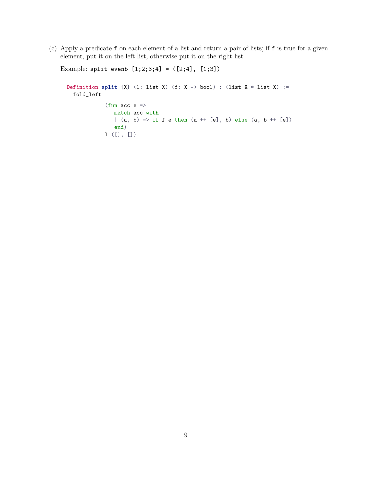(c) Apply a predicate f on each element of a list and return a pair of lists; if f is true for a given element, put it on the left list, otherwise put it on the right list.

```
Example: split evenb [1;2;3;4] = ([2;4], [1;3])
 Definition split \{X\} (1: list X) (f: X -> bool) : (list X * list X) :=
   fold_left
              (fun acc e \Rightarrowmatch acc with
                 | (a, b) => if f e then (a + [e], b) else (a, b + [e])end)
              l ([], []).
```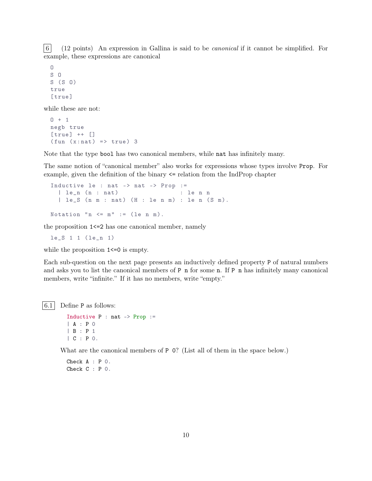6 (12 points) An expression in Gallina is said to be canonical if it cannot be simplified. For example, these expressions are canonical

```
\overline{0}S O
S(S<sub>0</sub>)true
[true]
```
while these are not:

```
0 + 1negb true
[true] ++ [](fun (x:nat) \Rightarrow true) 3
```
Note that the type bool has two canonical members, while nat has infinitely many.

The same notion of "canonical member" also works for expressions whose types involve Prop. For example, given the definition of the binary <= relation from the IndProp chapter

```
Inductive le : nat \rightarrow nat \rightarrow Prop :=
  \vert le_n (n : nat) : le n n
  | le_S (n m : nat) (H : le n m) : le n (S m).
Notation "n \le m" := (le n m).
```
the proposition 1<=2 has one canonical member, namely

le\_S 1 1 ( le\_n 1)

while the proposition  $1 \le 0$  is empty.

Each sub-question on the next page presents an inductively defined property P of natural numbers and asks you to list the canonical members of P n for some n. If P n has infinitely many canonical members, write "infinite." If it has no members, write "empty."

 $|6.1|$  Define P as follows:

```
Inductive P : nat \rightarrow Prop :=| A : P 0
| B : P 1
| C : P 0.
```
What are the canonical members of P  $\circ$ ? (List all of them in the space below.)

```
Check A : P 0.
Check C : P 0.
```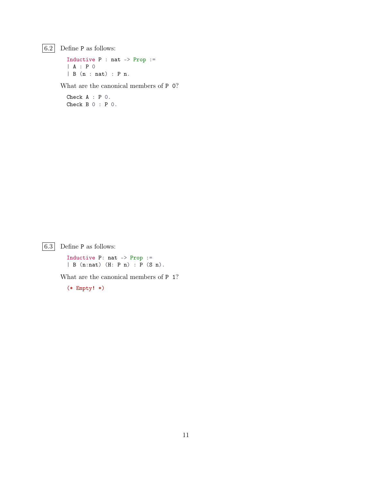$\boxed{6.2}$  Define P as follows:

Inductive P : nat -> Prop := | A : P 0 | B (n : nat) : P n.

What are the canonical members of P 0?

Check A : P 0. Check B 0 : P 0.

 $\boxed{6.3}$  Define P as follows:

Inductive P: nat -> Prop :=  $\mid B \text{ (n:nat)} \text{ (H: P n)} : P \text{ (S n)}.$ 

What are the canonical members of P 1?

(\* Empty! \*)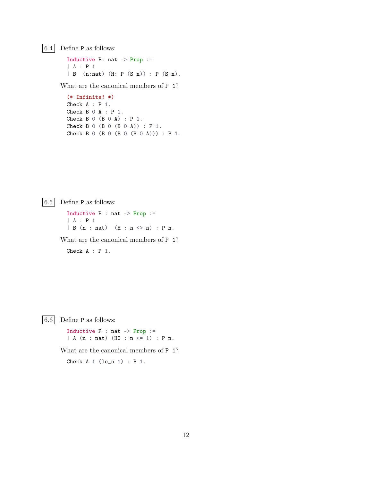$|6.4|$  Define P as follows:

Inductive P: nat -> Prop := | A : P 1 | B (n:nat) (H: P (S n)) : P (S n).

What are the canonical members of P 1?

(\* Infinite! \*) Check A : P 1. Check B 0 A : P 1. Check B 0 (B 0 A) : P 1. Check B 0 (B 0 (B 0 A)) : P 1. Check B  $0$  (B  $0$  (B  $0$  (B  $0$  A))) : P 1.

 $|6.5|$  Define P as follows:

Inductive P : nat -> Prop := | A : P 1  $| B (n : nat) (H : n \leq n) : P n.$ 

What are the canonical members of P 1?

Check A : P 1.

 $|6.6|$  Define P as follows:

Inductive P : nat -> Prop :=  $| A (n : nat) (H0 : n \leq 1) : P n.$ 

What are the canonical members of P 1?

Check  $A_1$  (le\_n 1) :  $P_1$ .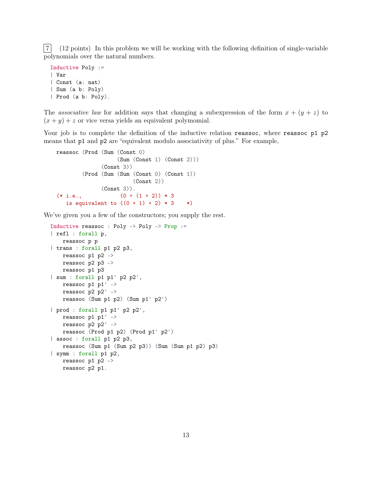7 (12 points) In this problem we will be working with the following definition of single-variable polynomials over the natural numbers.

```
Inductive Poly :=
| Var
| Const (a: nat)
| Sum (a b: Poly)
| Prod (a b: Poly).
```
The associative law for addition says that changing a subexpression of the form  $x + (y + z)$  to  $(x + y) + z$  or vice versa yields an equivalent polymomial.

Your job is to complete the definition of the inductive relation reassoc, where reassoc p1 p2 means that p1 and p2 are "equivalent modulo associativity of plus." For example,

```
reassoc (Prod (Sum (Const 0)
                  (Sum (Const 1) (Const 2)))
             (Const 3))
        (Prod (Sum (Sum (Const 0) (Const 1))
                       (Const 2))
             (Const 3)).
(* i.e., (0 + (1 + 2)) * 3)is equivalent to ((0 + 1) + 2) * 3 * )
```
We've given you a few of the constructors; you supply the rest.

```
Inductive reassoc : Poly -> Poly -> Prop :=
| refl : forall p,
   reassoc p p
| trans : forall p1 p2 p3,
   reassoc p1 p2 ->
   reassoc p2 p3 ->
   reassoc p1 p3
| sum : forall p1 p1' p2 p2',
   reassoc p1 p1' ->
   reassoc p2 p2' ->
   reassoc (Sum p1 p2) (Sum p1' p2')
| prod : forall p1 p1' p2 p2',
   reassoc p1 p1' ->
   reassoc p2 p2' ->
   reassoc (Prod p1 p2) (Prod p1' p2')
| assoc : forall p1 p2 p3,
   reassoc (Sum p1 (Sum p2 p3)) (Sum (Sum p1 p2) p3)
| symm : forall p1 p2,
   reassoc p1 p2 ->
   reassoc p2 p1.
```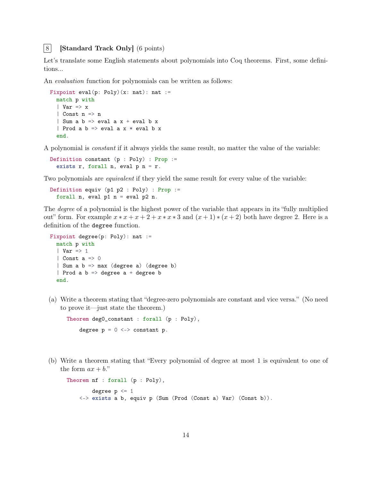#### 8 [Standard Track Only] (6 points)

Let's translate some English statements about polynomials into Coq theorems. First, some definitions...

An evaluation function for polynomials can be written as follows:

```
Fixpoint eval(p: Poly)(x: nat): nat :=
  match p with
  | Var \Rightarrow x
  | Const n => n
  | Sum a b \Rightarrow eval a x + eval b x| Prod a b \Rightarrow eval a x * eval b xend.
```
A polynomial is constant if it always yields the same result, no matter the value of the variable:

Definition constant (p : Poly) : Prop := exists  $r$ , forall  $n$ , eval  $p$   $n = r$ .

Two polynomials are *equivalent* if they yield the same result for every value of the variable:

```
Definition equiv (p1 p2 : Poly) : Prop :=
 forall n, eval p1 n = eval p2 n.
```
The degree of a polynomial is the highest power of the variable that appears in its "fully multiplied out" form. For example  $x * x + x + 2 + x * x * 3$  and  $(x + 1) * (x + 2)$  both have degree 2. Here is a definition of the degree function.

```
Fixpoint degree(p: Poly): nat :=
  match p with
  | Var \Rightarrow 1
  | Const a \Rightarrow 0| Sum a b => max (degree a) (degree b)
  | Prod a b \Rightarrow degree a + degree b
  end.
```
(a) Write a theorem stating that "degree-zero polynomials are constant and vice versa." (No need to prove it—just state the theorem.)

```
Theorem degO_constant : forall (p : Poly),
    degree p = 0 \le -\infty constant p.
```
(b) Write a theorem stating that "Every polynomial of degree at most 1 is equivalent to one of the form  $ax + b$ ."

```
Theorem nf : forall (p : Poly),
        degree p <= 1
    <-> exists a b, equiv p (Sum (Prod (Const a) Var) (Const b)).
```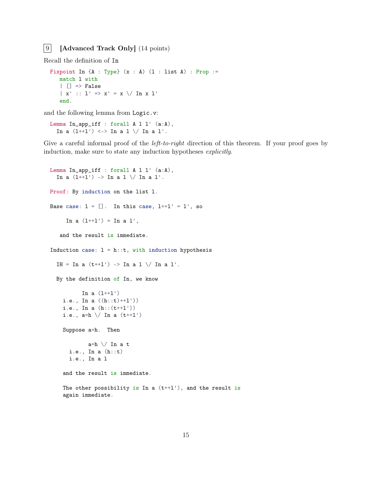#### 9 [Advanced Track Only] (14 points)

Recall the definition of In

```
Fixpoint In \{A : Type\} (x : A) (1 : list A) : Prop :=match l with
   | | \Rightarrow False
   | x' :: 1' => x' = x \ \sqrt{ \ \text{In} \ x \ 1' }end.
```
and the following lemma from Logic.v:

```
Lemma In_app_iff : forall A l l' (a:A),
  In a (1+1') \iff In a 1 \ \lor In a 1'.
```
Give a careful informal proof of the *left-to-right* direction of this theorem. If your proof goes by induction, make sure to state any induction hypotheses explicitly.

```
Lemma In_app_iff : forall A l l' (a:A),
  In a (1+1') \rightarrow In a 1 \setminus / In a 1'.
Proof: By induction on the list l.
Base case: l = []. In this case, l^{++}l' = l', so
     In a (1+1') = In a 1',
   and the result is immediate.
Induction case: l = h::t, with induction hypothesis
  IH = In a (t+1') -> In a 1 \ \sqrt{1} In a 1'.
  By the definition of In, we know
           In a (1++1')i.e., In a ((h::t)++l'))
    i.e., In a (h::(t++l'))
    i.e., a=h \ \backslash / \ In \ a \ (t++1')Suppose a=h. Then
             a=h \setminus In a t
      i.e., In a (h::t)
      i.e., In a l
    and the result is immediate.
    The other possibility is In a (t+1'), and the result is
    again immediate.
```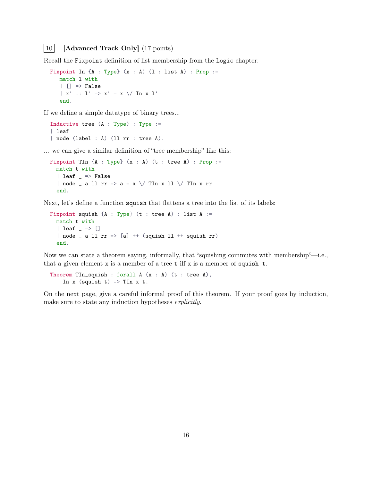#### | 10 | **Advanced Track Only** (17 points)

Recall the Fixpoint definition of list membership from the Logic chapter:

```
Fixpoint In \{A : Type\} (x : A) (1 : list A) : Prop :=match l with
   | | \Rightarrow False
   | x' :: 1' => x' = x \ \sqrt{ \ \text{In} \ x \ 1' }end.
```
If we define a simple datatype of binary trees...

```
Inductive tree (A : Type) : Type :=| leaf
| node (label : A) (ll rr : tree A).
```
... we can give a similar definition of "tree membership" like this:

```
Fixpoint TIn {A : Type} (x : A) (t : tree A) : Prop :=match t with
  | leaf \angle => False
  | node _ a ll rr => a = x \/ TIn x ll \/ TIn x rr
 end.
```
Next, let's define a function squish that flattens a tree into the list of its labels:

```
Fixpoint squish {A : Type} (t : tree A) : list A :=
  match t with
  | leaf \overline{\phantom{a}} => []
  | node _ a ll rr => [a] ++ (squish ll ++ squish rr)
  end.
```
Now we can state a theorem saying, informally, that "squishing commutes with membership"—i.e., that a given element  $x$  is a member of a tree  $t$  iff  $x$  is a member of squish  $t$ .

Theorem TIn\_squish : forall  $A(x : A)$  (t : tree  $A$ ), In  $x$  (squish  $t$ )  $\rightarrow$  TIn  $x$   $t$ .

On the next page, give a careful informal proof of this theorem. If your proof goes by induction, make sure to state any induction hypotheses explicitly.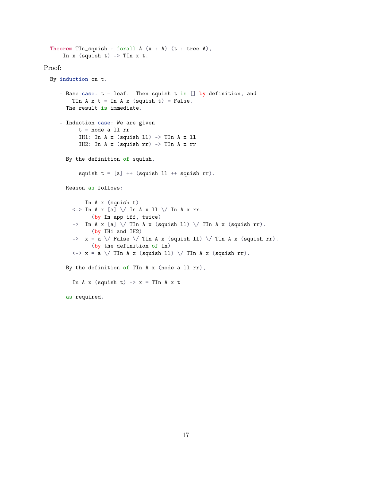```
Theorem TIn_squish : forall A(x : A) (t : tree A),
       In x (squish t) -> TIn x t.
Proof:
  By induction on t.
     - Base case: t = \text{leaf.} Then squish t is [] by definition, and
          TIn A \times t = In A \times (squish t) = False.The result is immediate.
     - Induction case: We are given
             t = node a 11 rrIH1: In A \times (squish 11) -> TIn A \times 11IH2: In A x (squish rr) -> TIn A x rr
        By the definition of squish,
             squish t = [a] ++ (squish 11 ++ squish rr).
        Reason as follows:
               In A x (squish t)
          \langle - \rangle In A x [a] \setminus In A x 11 \setminus In A x rr.
                 (by In_app_iff, twice)
          \Rightarrow In A x [a] \setminus TIn A x (squish 11) \setminus TIn A x (squish rr).
                 (by IH1 and IH2)
          \Rightarrow x = a \setminus False \setminus TIn A x (squish 11) \setminus TIn A x (squish rr).
                 (by the definition of In)
          \langle - \rangle x = a \setminus TIn A x (squish 11) \setminus TIn A x (squish rr).
        By the definition of TIn A x (node a ll rr),
          In A \times (squish t) \rightarrow x =TIn A \times tas required.
```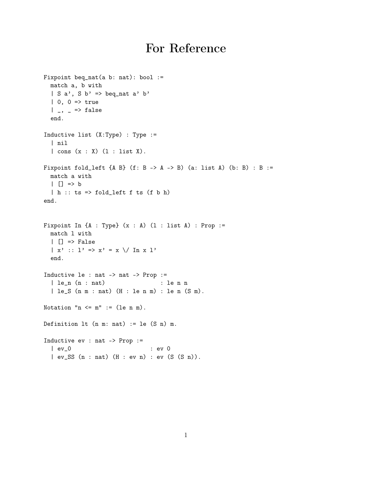## For Reference

```
Fixpoint beq_nat(a b: nat): bool :=
  match a, b with
  | S a', S b' => beq_nat a' b'
  | 0, 0 \Rightarrow true| , - \rangle => false
  end.
Inductive list (X:Type) : Type :=
  | nil
  | cons (x : X) (l : list X).
Fixpoint fold_left {A B} (f: B -> A -> B) (a: list A) (b: B) : B :=
  match a with
  | | \Rightarrow b
  | h :: ts \Rightarrow fold\_left f is (f b h)end.
Fixpoint In \{A : Type\} (x : A) (1 : list A) : Prop :=
  match l with
  | | \Rightarrow False
  | x' :: 1' => x' = x \ \sqrt{ \ \ln x \ 1'}end.
Inductive le : nat -> nat -> Prop :=
  | le_n (n : nat) : le n n
  | le_S (n m : nat) (H : le n m) : le n (S m).
Notation "n \le m" := (le n m).
Definition lt (n m: nat) := le (S n) m.
Inductive ev : nat -> Prop :=
  | ev_0 : ev 0
  | ev_SS (n : nat) (H : ev n) : ev (S (S n)).
```